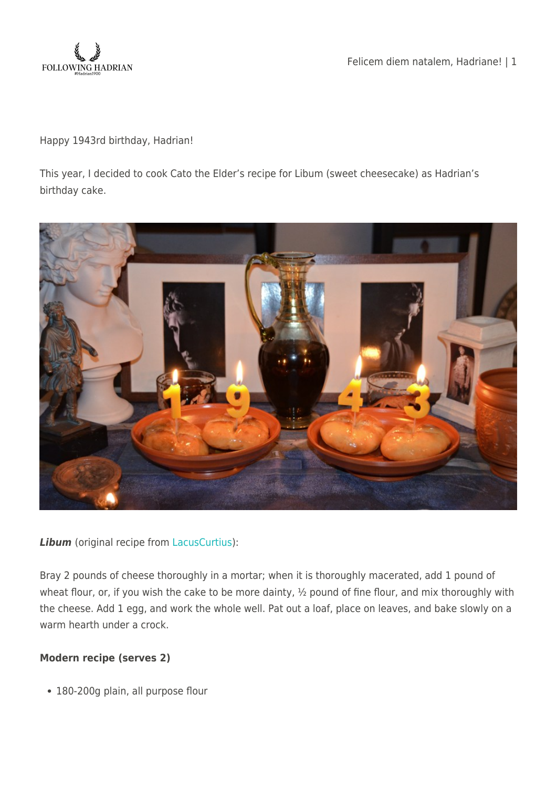

Felicem diem natalem, Hadriane! | 1

Happy 1943rd birthday, Hadrian!

This year, I decided to cook Cato the Elder's recipe for Libum (sweet cheesecake) as Hadrian's birthday cake.



## **Libum** (original recipe from [LacusCurtius](http://penelope.uchicago.edu/Thayer/E/Roman/Texts/Cato/De_Agricultura/E*.html#75)):

Bray 2 pounds of cheese thoroughly in a mortar; when it is thoroughly macerated, add 1 pound of wheat flour, or, if you wish the cake to be more dainty, 1/2 pound of fine flour, and mix thoroughly with the cheese. Add 1 egg, and work the whole well. Pat out a loaf, place on leaves, and bake slowly on a warm hearth under a crock.

## **Modern recipe (serves 2)**

180-200g plain, all purpose flour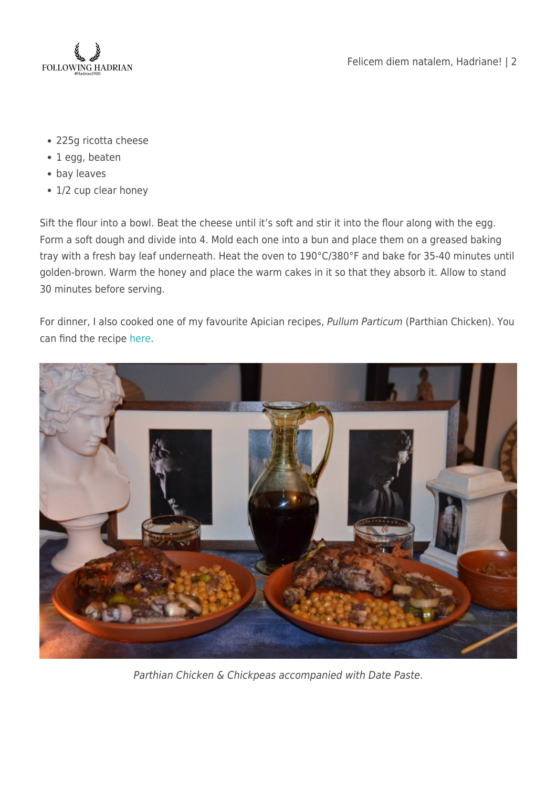

- 225g ricotta cheese
- 1 egg, beaten
- bay leaves
- 1/2 cup clear honey

Sift the flour into a bowl. Beat the cheese until it's soft and stir it into the flour along with the egg. Form a soft dough and divide into 4. Mold each one into a bun and place them on a greased baking tray with a fresh bay leaf underneath. Heat the oven to 190°C/380°F and bake for 35-40 minutes until golden-brown. Warm the honey and place the warm cakes in it so that they absorb it. Allow to stand 30 minutes before serving.

For dinner, I also cooked one of my favourite Apician recipes, Pullum Particum (Parthian Chicken). You can find the recipe [here](https://followinghadrian.com/2014/01/17/a-taste-of-ancient-rome-pullum-particum-parthian-chicken-and-parthian-chickpeas/).



Parthian Chicken & Chickpeas accompanied with Date Paste.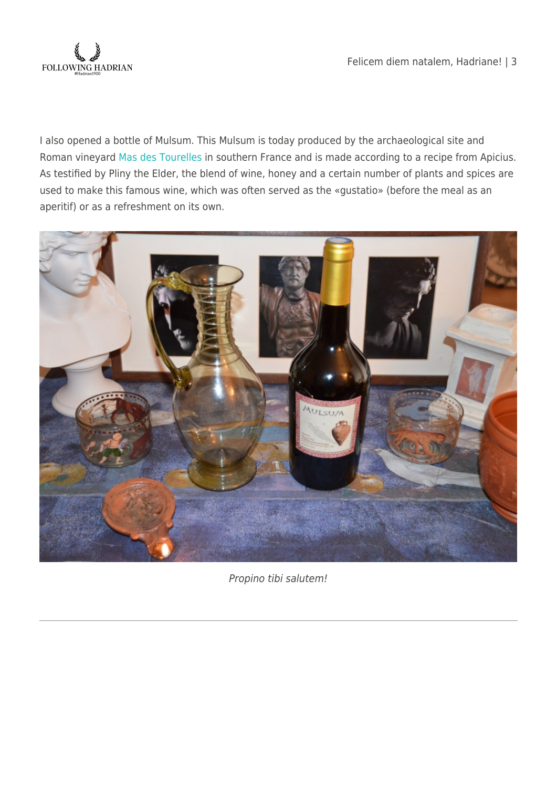

I also opened a bottle of Mulsum. This Mulsum is today produced by the archaeological site and Roman vineyard [Mas des Tourelles](http://tourelles.com/en/) in southern France and is made according to a recipe from Apicius. As testified by Pliny the Elder, the blend of wine, honey and a certain number of plants and spices are used to make this famous wine, which was often served as the «gustatio» (before the meal as an aperitif) or as a refreshment on its own.



Propino tibi salutem!